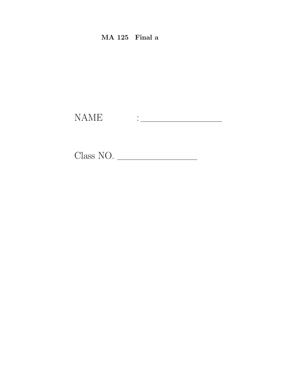$MA$  125 Final a

 $\begin{tabular}{ll} \bf{NAME} & \textbf{::} & \textbf{...} \\ \end{tabular}$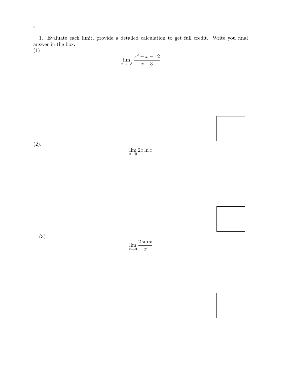1. Evaluate each limit, provide a detailed calculation to get full credit. Write you final answer in the box. (1)

 $\lim_{x \to -3}$  $x^2 - x - 12$  $x + 3$ 



(2).

 $\lim_{x\to 0} 2x \ln x$ 

(3).

 $\lim_{x\to 0}$  $2\sin x$  $\boldsymbol{x}$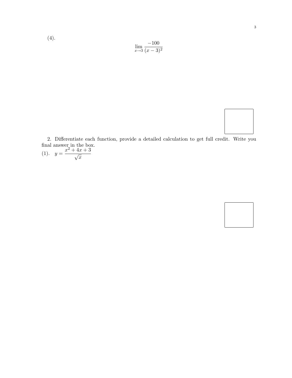$$
\lim_{x \to 3} \frac{-100}{(x-3)^2}
$$



2. Differentiate each function, provide a detailed calculation to get full credit. Write you final answer in the box.

(1).  $y = \frac{x^2 + 4x + 3}{\sqrt{x}}$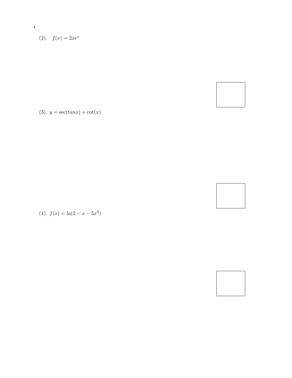$$
(2). \quad f(x) = 2xe^x
$$

 $\sqrt{4}$ 

(3).  $y = \sec(tan x) + \cot(x)$ 



(4).  $f(x) = \ln(2 - x - 5x^2)$ 

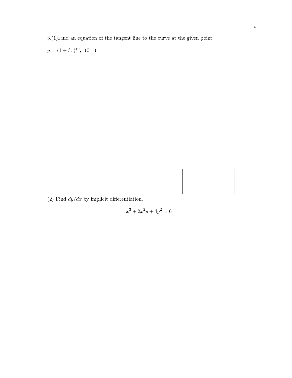3.(1)Find an equation of the tangent line to the curve at the given point

 $y = (1+3x)^{10}, (0,1)$ 



(2) Find  $dy/dx$  by implicit differentiation.

$$
x^3 + 2x^2y + 4y^2 = 6
$$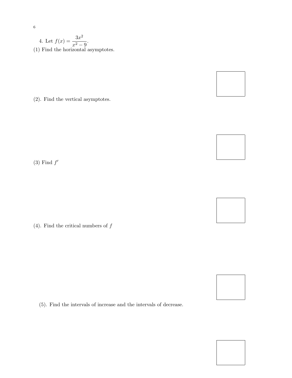4. Let  $f(x) = \frac{3x^2}{2}$  $\frac{3x}{x^2-9}$ . (1) Find the horizontal asymptotes.

(2). Find the vertical asymptotes.

 $(3)$  Find  $f'$ 

(4). Find the critical numbers of  $\boldsymbol{f}$ 

(5). Find the intervals of increase and the intervals of decrease.

## 6







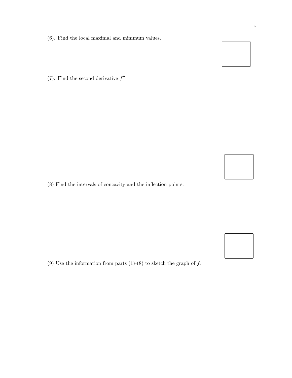- (6). Find the local maximal and minimum values.
- (7). Find the second derivative  $f''$

(8) Find the intervals of concavity and the inflection points.

(9) Use the information from parts (1)-(8) to sketch the graph of  $f$ .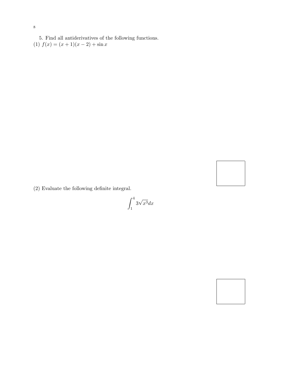5. Find all antiderivatives of the following functions. (1)  $f(x) = (x + 1)(x - 2) + \sin x$ 

(2) Evaluate the following definite integral.

 $\int_0^4$ 1 3 √  $x^3 dx$